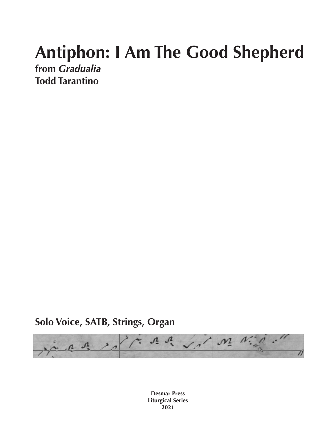## **Antiphon: I Am The Good Shepherd**

**from** *Gradualia* **Todd Tarantino**

**Solo Voice, SATB, Strings, Organ**



**Desmar Press Liturgical Series 2021**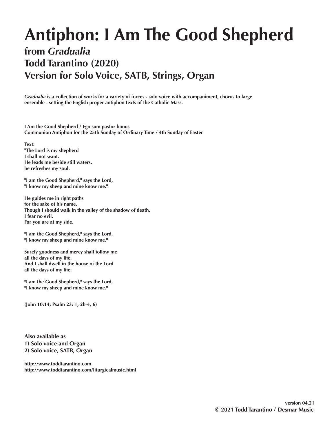## **Antiphon: I Am The Good Shepherd**

## **from** *Gradualia* **Todd Tarantino (2020) Version for Solo Voice, SATB, Strings, Organ**

*Gradualia* **is a collection of works for a variety of forces - solo voice with accompaniment, chorus to large ensemble - setting the English proper antiphon texts of the Catholic Mass.** 

**I Am the Good Shepherd / Ego sum pastor bonus Communion Antiphon for the 25th Sunday of Ordinary Time / 4th Sunday of Easter**

**Text: "The Lord is my shepherd I shall not want. He leads me beside still waters, he refreshes my soul.**

**"I am the Good Shepherd," says the Lord, "I know my sheep and mine know me."**

**He guides me in right paths for the sake of his name. Though I should walk in the valley of the shadow of death, I fear no evil. For you are at my side.**

**"I am the Good Shepherd," says the Lord, "I know my sheep and mine know me."**

**Surely goodness and mercy shall follow me all the days of my life. And I shall dwell in the house of the Lord all the days of my life.**

**"I am the Good Shepherd," says the Lord, "I know my sheep and mine know me."**

**(John 10:14; Psalm 23: 1, 2b-4, 6)**

**Also available as 1) Solo voice and Organ 2) Solo voice, SATB, Organ**

**http://www.toddtarantino.com http://www.toddtarantino.com/liturgicalmusic.html**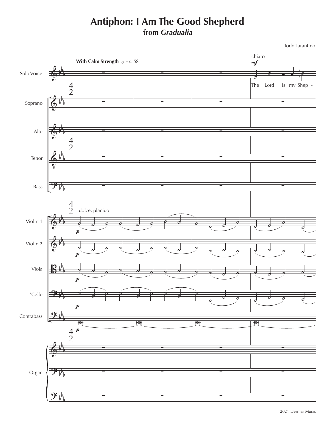## **Antiphon: I Am The Good Shepherd from** *Gradualia*

Todd Tarantino

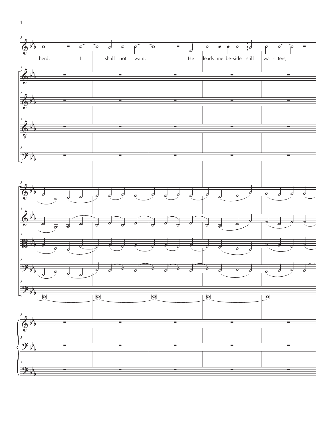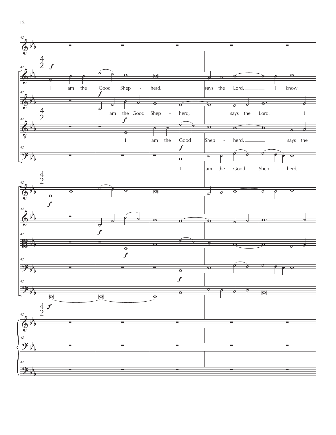

12